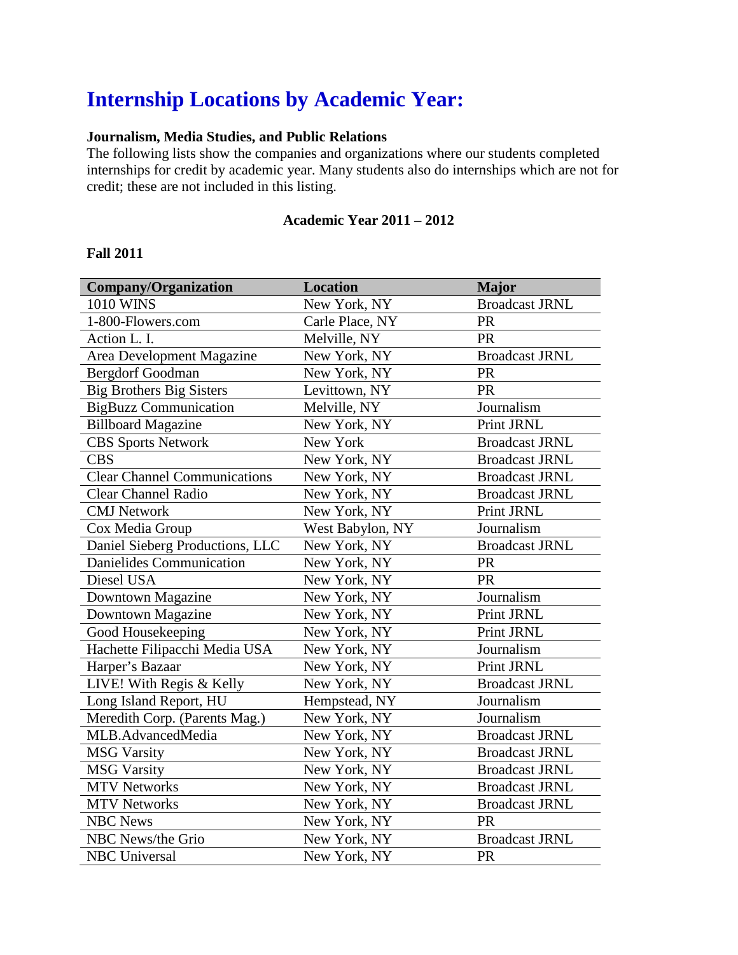# **Internship Locations by Academic Year:**

### **Journalism, Media Studies, and Public Relations**

The following lists show the companies and organizations where our students completed internships for credit by academic year. Many students also do internships which are not for credit; these are not included in this listing.

#### **Academic Year 2011 – 2012**

#### **Fall 2011**

| <b>Company/Organization</b>         | <b>Location</b>  | <b>Major</b>          |
|-------------------------------------|------------------|-----------------------|
| 1010 WINS                           | New York, NY     | <b>Broadcast JRNL</b> |
| 1-800-Flowers.com                   | Carle Place, NY  | <b>PR</b>             |
| Action L. I.                        | Melville, NY     | <b>PR</b>             |
| Area Development Magazine           | New York, NY     | <b>Broadcast JRNL</b> |
| <b>Bergdorf Goodman</b>             | New York, NY     | <b>PR</b>             |
| <b>Big Brothers Big Sisters</b>     | Levittown, NY    | PR                    |
| <b>BigBuzz Communication</b>        | Melville, NY     | Journalism            |
| <b>Billboard Magazine</b>           | New York, NY     | Print JRNL            |
| <b>CBS</b> Sports Network           | New York         | <b>Broadcast JRNL</b> |
| <b>CBS</b>                          | New York, NY     | <b>Broadcast JRNL</b> |
| <b>Clear Channel Communications</b> | New York, NY     | <b>Broadcast JRNL</b> |
| <b>Clear Channel Radio</b>          | New York, NY     | <b>Broadcast JRNL</b> |
| <b>CMJ</b> Network                  | New York, NY     | Print JRNL            |
| Cox Media Group                     | West Babylon, NY | Journalism            |
| Daniel Sieberg Productions, LLC     | New York, NY     | <b>Broadcast JRNL</b> |
| <b>Danielides Communication</b>     | New York, NY     | PR                    |
| Diesel USA                          | New York, NY     | PR                    |
| Downtown Magazine                   | New York, NY     | Journalism            |
| Downtown Magazine                   | New York, NY     | Print JRNL            |
| Good Housekeeping                   | New York, NY     | Print JRNL            |
| Hachette Filipacchi Media USA       | New York, NY     | Journalism            |
| Harper's Bazaar                     | New York, NY     | Print JRNL            |
| LIVE! With Regis & Kelly            | New York, NY     | <b>Broadcast JRNL</b> |
| Long Island Report, HU              | Hempstead, NY    | Journalism            |
| Meredith Corp. (Parents Mag.)       | New York, NY     | Journalism            |
| MLB.AdvancedMedia                   | New York, NY     | <b>Broadcast JRNL</b> |
| <b>MSG Varsity</b>                  | New York, NY     | <b>Broadcast JRNL</b> |
| <b>MSG Varsity</b>                  | New York, NY     | <b>Broadcast JRNL</b> |
| <b>MTV Networks</b>                 | New York, NY     | <b>Broadcast JRNL</b> |
| <b>MTV Networks</b>                 | New York, NY     | <b>Broadcast JRNL</b> |
| <b>NBC News</b>                     | New York, NY     | PR                    |
| NBC News/the Grio                   | New York, NY     | <b>Broadcast JRNL</b> |
| <b>NBC</b> Universal                | New York, NY     | PR                    |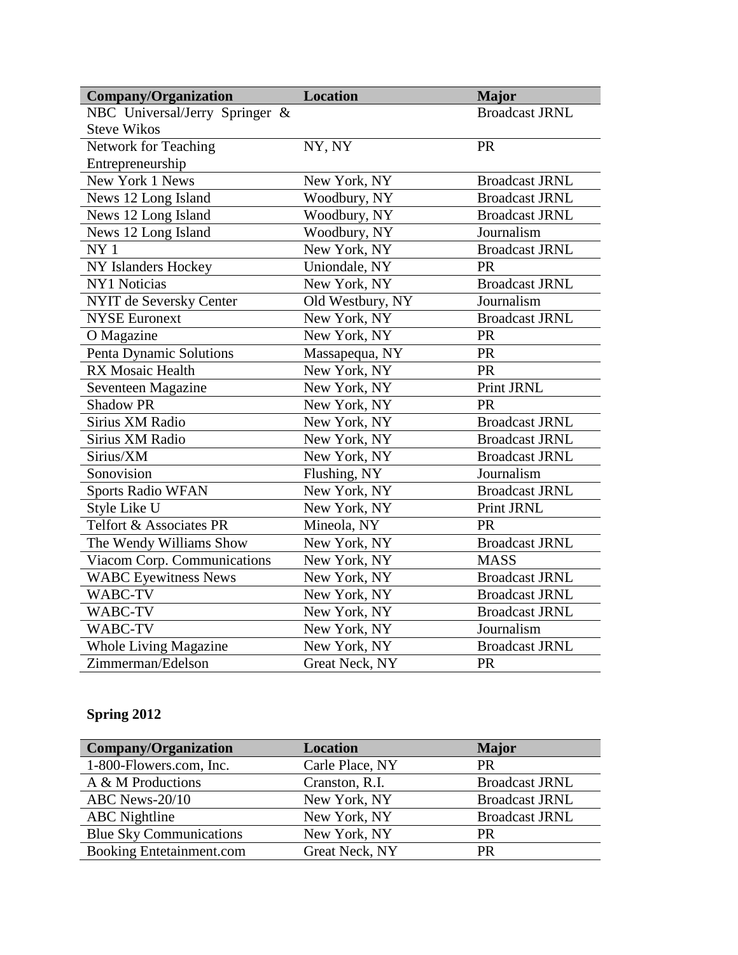| <b>Company/Organization</b>    | <b>Location</b>  | <b>Major</b>          |
|--------------------------------|------------------|-----------------------|
| NBC Universal/Jerry Springer & |                  | <b>Broadcast JRNL</b> |
| <b>Steve Wikos</b>             |                  |                       |
| Network for Teaching           | NY, NY           | PR                    |
| Entrepreneurship               |                  |                       |
| New York 1 News                | New York, NY     | <b>Broadcast JRNL</b> |
| News 12 Long Island            | Woodbury, NY     | <b>Broadcast JRNL</b> |
| News 12 Long Island            | Woodbury, NY     | <b>Broadcast JRNL</b> |
| News 12 Long Island            | Woodbury, NY     | Journalism            |
| NY <sub>1</sub>                | New York, NY     | <b>Broadcast JRNL</b> |
| NY Islanders Hockey            | Uniondale, NY    | <b>PR</b>             |
| <b>NY1 Noticias</b>            | New York, NY     | <b>Broadcast JRNL</b> |
| NYIT de Seversky Center        | Old Westbury, NY | Journalism            |
| <b>NYSE Euronext</b>           | New York, NY     | <b>Broadcast JRNL</b> |
| O Magazine                     | New York, NY     | PR                    |
| Penta Dynamic Solutions        | Massapequa, NY   | PR                    |
| RX Mosaic Health               | New York, NY     | PR                    |
| Seventeen Magazine             | New York, NY     | Print JRNL            |
| <b>Shadow PR</b>               | New York, NY     | PR                    |
| Sirius XM Radio                | New York, NY     | <b>Broadcast JRNL</b> |
| Sirius XM Radio                | New York, NY     | <b>Broadcast JRNL</b> |
| Sirius/XM                      | New York, NY     | <b>Broadcast JRNL</b> |
| Sonovision                     | Flushing, NY     | Journalism            |
| <b>Sports Radio WFAN</b>       | New York, NY     | <b>Broadcast JRNL</b> |
| Style Like U                   | New York, NY     | Print JRNL            |
| Telfort & Associates PR        | Mineola, NY      | PR                    |
| The Wendy Williams Show        | New York, NY     | <b>Broadcast JRNL</b> |
| Viacom Corp. Communications    | New York, NY     | <b>MASS</b>           |
| <b>WABC Eyewitness News</b>    | New York, NY     | <b>Broadcast JRNL</b> |
| WABC-TV                        | New York, NY     | <b>Broadcast JRNL</b> |
| WABC-TV                        | New York, NY     | <b>Broadcast JRNL</b> |
| WABC-TV                        | New York, NY     | Journalism            |
| <b>Whole Living Magazine</b>   | New York, NY     | <b>Broadcast JRNL</b> |
| Zimmerman/Edelson              | Great Neck, NY   | PR                    |

## **Spring 2012**

| Company/Organization            | <b>Location</b> | <b>Major</b>          |
|---------------------------------|-----------------|-----------------------|
| 1-800-Flowers.com, Inc.         | Carle Place, NY | <b>PR</b>             |
| A & M Productions               | Cranston, R.I.  | <b>Broadcast JRNL</b> |
| ABC News-20/10                  | New York, NY    | <b>Broadcast JRNL</b> |
| <b>ABC</b> Nightline            | New York, NY    | <b>Broadcast JRNL</b> |
| <b>Blue Sky Communications</b>  | New York, NY    | <b>PR</b>             |
| <b>Booking Entetainment.com</b> | Great Neck, NY  | <b>PR</b>             |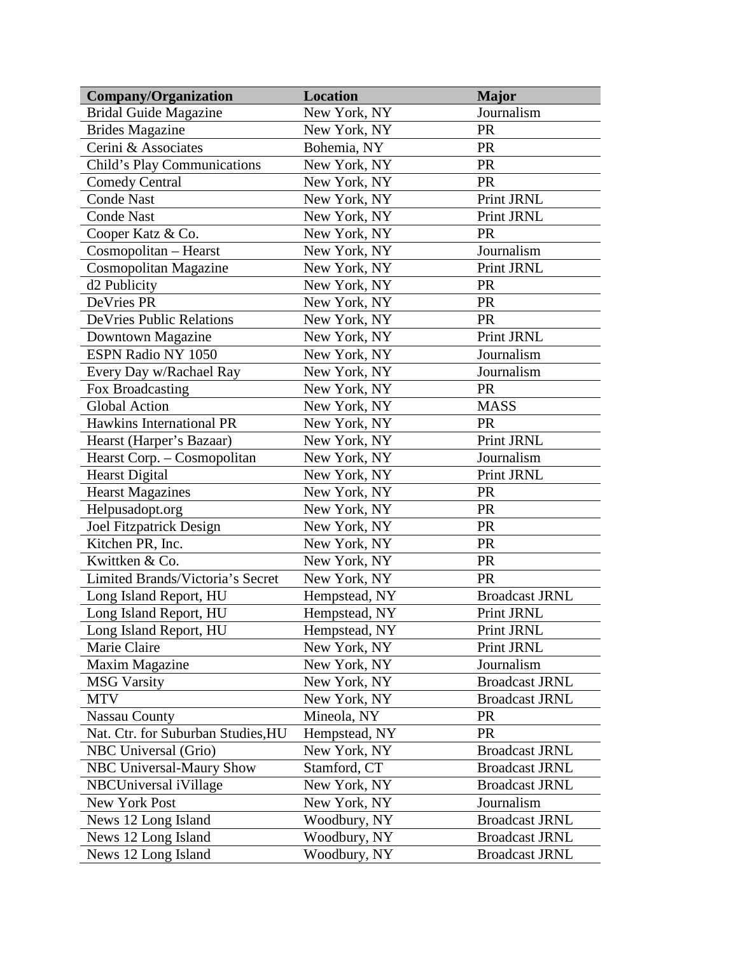| <b>Company/Organization</b>        | Location      | <b>Major</b>          |
|------------------------------------|---------------|-----------------------|
| <b>Bridal Guide Magazine</b>       | New York, NY  | Journalism            |
| <b>Brides Magazine</b>             | New York, NY  | <b>PR</b>             |
| Cerini & Associates                | Bohemia, NY   | <b>PR</b>             |
| Child's Play Communications        | New York, NY  | PR                    |
| <b>Comedy Central</b>              | New York, NY  | PR                    |
| <b>Conde Nast</b>                  | New York, NY  | Print JRNL            |
| <b>Conde Nast</b>                  | New York, NY  | Print JRNL            |
| Cooper Katz & Co.                  | New York, NY  | <b>PR</b>             |
| Cosmopolitan - Hearst              | New York, NY  | Journalism            |
| Cosmopolitan Magazine              | New York, NY  | Print JRNL            |
| d2 Publicity                       | New York, NY  | <b>PR</b>             |
| DeVries PR                         | New York, NY  | PR                    |
| <b>DeVries Public Relations</b>    | New York, NY  | <b>PR</b>             |
| Downtown Magazine                  | New York, NY  | Print JRNL            |
| ESPN Radio NY 1050                 | New York, NY  | Journalism            |
| Every Day w/Rachael Ray            | New York, NY  | Journalism            |
| Fox Broadcasting                   | New York, NY  | <b>PR</b>             |
| <b>Global Action</b>               | New York, NY  | <b>MASS</b>           |
| Hawkins International PR           | New York, NY  | <b>PR</b>             |
| Hearst (Harper's Bazaar)           | New York, NY  | Print JRNL            |
| Hearst Corp. - Cosmopolitan        | New York, NY  | Journalism            |
| <b>Hearst Digital</b>              | New York, NY  | Print JRNL            |
| <b>Hearst Magazines</b>            | New York, NY  | <b>PR</b>             |
| Helpusadopt.org                    | New York, NY  | <b>PR</b>             |
| Joel Fitzpatrick Design            | New York, NY  | PR                    |
| Kitchen PR, Inc.                   | New York, NY  | <b>PR</b>             |
| Kwittken & Co.                     | New York, NY  | <b>PR</b>             |
| Limited Brands/Victoria's Secret   | New York, NY  | <b>PR</b>             |
| Long Island Report, HU             | Hempstead, NY | <b>Broadcast JRNL</b> |
| Long Island Report, HU             | Hempstead, NY | Print JRNL            |
| Long Island Report, HU             | Hempstead, NY | Print JRNL            |
| Marie Claire                       | New York, NY  | Print JRNL            |
| Maxim Magazine                     | New York, NY  | Journalism            |
| <b>MSG Varsity</b>                 | New York, NY  | <b>Broadcast JRNL</b> |
| <b>MTV</b>                         | New York, NY  | <b>Broadcast JRNL</b> |
| <b>Nassau County</b>               | Mineola, NY   | <b>PR</b>             |
| Nat. Ctr. for Suburban Studies, HU | Hempstead, NY | <b>PR</b>             |
| NBC Universal (Grio)               | New York, NY  | <b>Broadcast JRNL</b> |
| <b>NBC Universal-Maury Show</b>    | Stamford, CT  | <b>Broadcast JRNL</b> |
| NBCUniversal iVillage              | New York, NY  | <b>Broadcast JRNL</b> |
| New York Post                      | New York, NY  | Journalism            |
| News 12 Long Island                | Woodbury, NY  | <b>Broadcast JRNL</b> |
| News 12 Long Island                | Woodbury, NY  | <b>Broadcast JRNL</b> |
| News 12 Long Island                | Woodbury, NY  | <b>Broadcast JRNL</b> |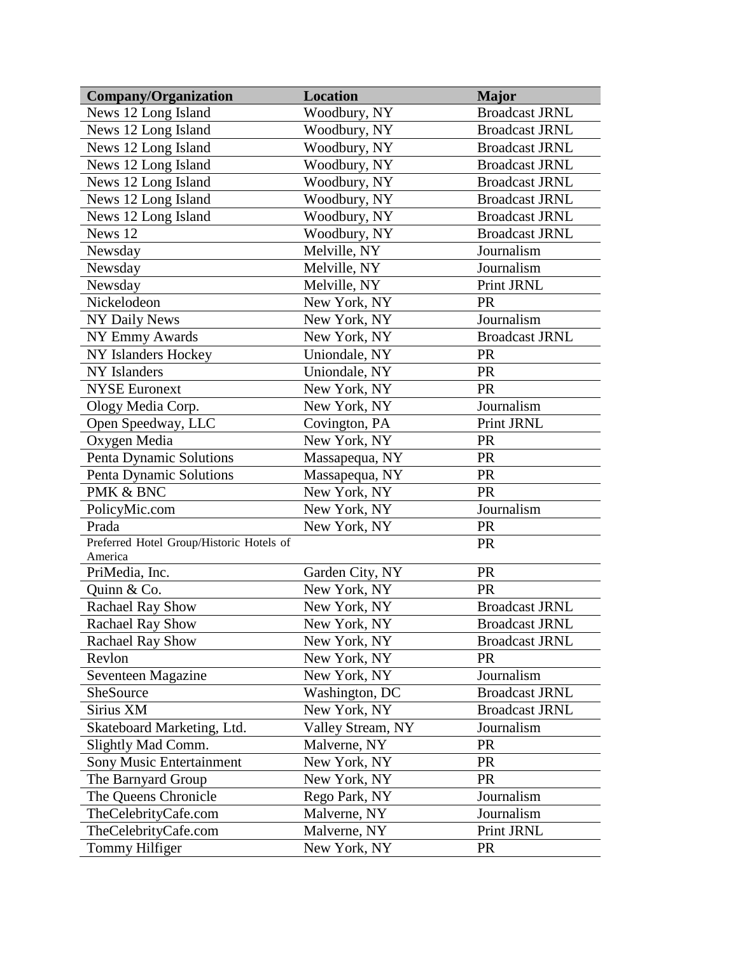| <b>Company/Organization</b>              | <b>Location</b>   | <b>Major</b>          |
|------------------------------------------|-------------------|-----------------------|
| News 12 Long Island                      | Woodbury, NY      | <b>Broadcast JRNL</b> |
| News 12 Long Island                      | Woodbury, NY      | <b>Broadcast JRNL</b> |
| News 12 Long Island                      | Woodbury, NY      | <b>Broadcast JRNL</b> |
| News 12 Long Island                      | Woodbury, NY      | <b>Broadcast JRNL</b> |
| News 12 Long Island                      | Woodbury, NY      | <b>Broadcast JRNL</b> |
| News 12 Long Island                      | Woodbury, NY      | <b>Broadcast JRNL</b> |
| News 12 Long Island                      | Woodbury, NY      | <b>Broadcast JRNL</b> |
| News 12                                  | Woodbury, NY      | <b>Broadcast JRNL</b> |
| Newsday                                  | Melville, NY      | Journalism            |
| Newsday                                  | Melville, NY      | Journalism            |
| Newsday                                  | Melville, NY      | Print JRNL            |
| Nickelodeon                              | New York, NY      | PR                    |
| NY Daily News                            | New York, NY      | Journalism            |
| <b>NY Emmy Awards</b>                    | New York, NY      | <b>Broadcast JRNL</b> |
| NY Islanders Hockey                      | Uniondale, NY     | <b>PR</b>             |
| <b>NY</b> Islanders                      | Uniondale, NY     | <b>PR</b>             |
| <b>NYSE Euronext</b>                     | New York, NY      | <b>PR</b>             |
| Ology Media Corp.                        | New York, NY      | Journalism            |
| Open Speedway, LLC                       | Covington, PA     | Print JRNL            |
| Oxygen Media                             | New York, NY      | <b>PR</b>             |
| Penta Dynamic Solutions                  | Massapequa, NY    | <b>PR</b>             |
| Penta Dynamic Solutions                  | Massapequa, NY    | <b>PR</b>             |
| PMK & BNC                                | New York, NY      | <b>PR</b>             |
| PolicyMic.com                            | New York, NY      | Journalism            |
| Prada                                    | New York, NY      | <b>PR</b>             |
| Preferred Hotel Group/Historic Hotels of |                   | <b>PR</b>             |
| America                                  |                   |                       |
| PriMedia, Inc.                           | Garden City, NY   | PR                    |
| Quinn & Co.                              | New York, NY      | <b>PR</b>             |
| <b>Rachael Ray Show</b>                  | New York, NY      | <b>Broadcast JRNL</b> |
| <b>Rachael Ray Show</b>                  | New York, NY      | <b>Broadcast JRNL</b> |
| <b>Rachael Ray Show</b>                  | New York, NY      | <b>Broadcast JRNL</b> |
| Revlon                                   | New York, NY      | <b>PR</b>             |
| Seventeen Magazine                       | New York, NY      | Journalism            |
| SheSource                                | Washington, DC    | <b>Broadcast JRNL</b> |
| Sirius XM                                | New York, NY      | <b>Broadcast JRNL</b> |
| Skateboard Marketing, Ltd.               | Valley Stream, NY | Journalism            |
| Slightly Mad Comm.                       | Malverne, NY      | <b>PR</b>             |
| Sony Music Entertainment                 | New York, NY      | <b>PR</b>             |
| The Barnyard Group                       | New York, NY      | <b>PR</b>             |
| The Queens Chronicle                     | Rego Park, NY     | Journalism            |
| TheCelebrityCafe.com                     | Malverne, NY      | Journalism            |
| TheCelebrityCafe.com                     | Malverne, NY      | Print JRNL            |
| Tommy Hilfiger                           | New York, NY      | <b>PR</b>             |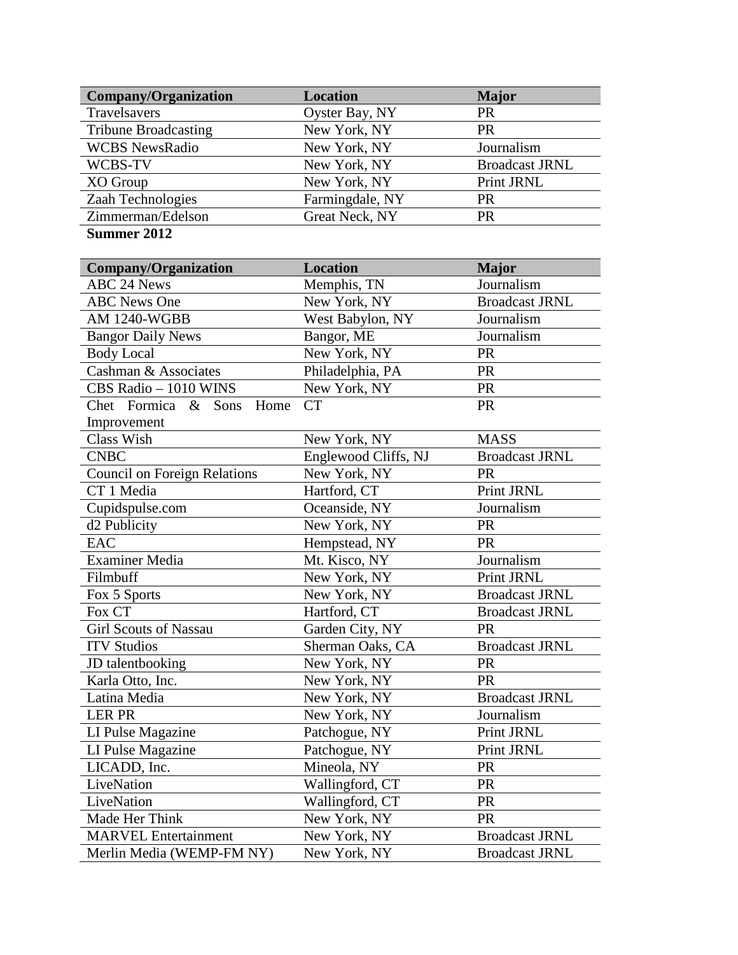| <b>Company/Organization</b>        | <b>Location</b> | <b>Major</b>          |
|------------------------------------|-----------------|-----------------------|
| Travelsavers                       | Oyster Bay, NY  | <b>PR</b>             |
| <b>Tribune Broadcasting</b>        | New York, NY    | <b>PR</b>             |
| <b>WCBS</b> NewsRadio              | New York, NY    | Journalism            |
| WCBS-TV                            | New York, NY    | <b>Broadcast JRNL</b> |
| XO Group                           | New York, NY    | Print JRNL            |
| Zaah Technologies                  | Farmingdale, NY | <b>PR</b>             |
| Zimmerman/Edelson                  | Great Neck, NY  | <b>PR</b>             |
| $\sim$ $\sim$ $\sim$ $\sim$ $\sim$ |                 |                       |

#### **Summer 2012**

| <b>Company/Organization</b>    | <b>Location</b>      | <b>Major</b>          |
|--------------------------------|----------------------|-----------------------|
| <b>ABC 24 News</b>             | Memphis, TN          | Journalism            |
| <b>ABC News One</b>            | New York, NY         | <b>Broadcast JRNL</b> |
| <b>AM 1240-WGBB</b>            | West Babylon, NY     | Journalism            |
| <b>Bangor Daily News</b>       | Bangor, ME           | Journalism            |
| <b>Body Local</b>              | New York, NY         | PR                    |
| Cashman & Associates           | Philadelphia, PA     | PR                    |
| CBS Radio - 1010 WINS          | New York, NY         | <b>PR</b>             |
| Chet Formica &<br>Sons<br>Home | <b>CT</b>            | PR                    |
| Improvement                    |                      |                       |
| Class Wish                     | New York, NY         | <b>MASS</b>           |
| <b>CNBC</b>                    | Englewood Cliffs, NJ | <b>Broadcast JRNL</b> |
| Council on Foreign Relations   | New York, NY         | PR                    |
| CT1 Media                      | Hartford, CT         | Print JRNL            |
| Cupidspulse.com                | Oceanside, NY        | Journalism            |
| d <sub>2</sub> Publicity       | New York, NY         | PR                    |
| <b>EAC</b>                     | Hempstead, NY        | <b>PR</b>             |
| <b>Examiner Media</b>          | Mt. Kisco, NY        | Journalism            |
| Filmbuff                       | New York, NY         | Print JRNL            |
| Fox 5 Sports                   | New York, NY         | <b>Broadcast JRNL</b> |
| Fox CT                         | Hartford, CT         | <b>Broadcast JRNL</b> |
| <b>Girl Scouts of Nassau</b>   | Garden City, NY      | PR                    |
| <b>ITV Studios</b>             | Sherman Oaks, CA     | <b>Broadcast JRNL</b> |
| JD talentbooking               | New York, NY         | PR                    |
| Karla Otto, Inc.               | New York, NY         | <b>PR</b>             |
| Latina Media                   | New York, NY         | <b>Broadcast JRNL</b> |
| <b>LER PR</b>                  | New York, NY         | Journalism            |
| LI Pulse Magazine              | Patchogue, NY        | Print JRNL            |
| LI Pulse Magazine              | Patchogue, NY        | Print JRNL            |
| LICADD, Inc.                   | Mineola, NY          | PR                    |
| LiveNation                     | Wallingford, CT      | PR                    |
| LiveNation                     | Wallingford, CT      | <b>PR</b>             |
| Made Her Think                 | New York, NY         | PR                    |
| <b>MARVEL Entertainment</b>    | New York, NY         | <b>Broadcast JRNL</b> |
| Merlin Media (WEMP-FM NY)      | New York, NY         | <b>Broadcast JRNL</b> |